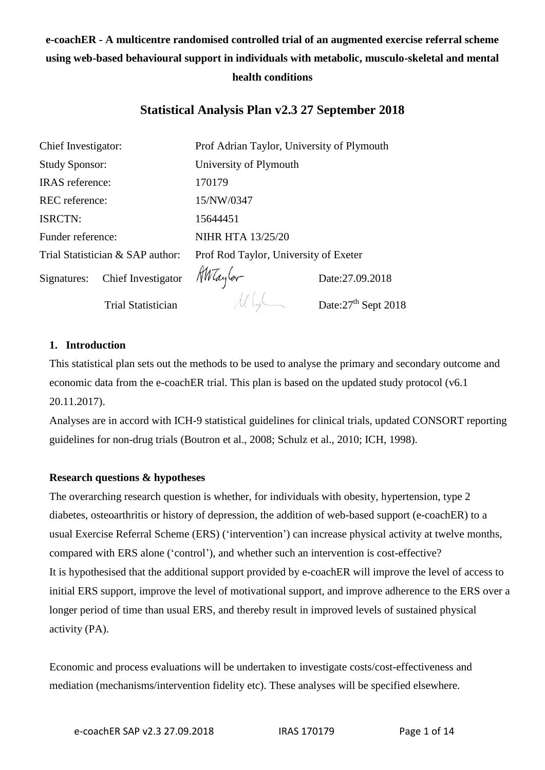# **e-coachER - A multicentre randomised controlled trial of an augmented exercise referral scheme using web-based behavioural support in individuals with metabolic, musculo-skeletal and mental health conditions**

## **Statistical Analysis Plan v2.3 27 September 2018**

| Chief Investigator:              |                                       | Prof Adrian Taylor, University of Plymouth |                                  |  |
|----------------------------------|---------------------------------------|--------------------------------------------|----------------------------------|--|
| <b>Study Sponsor:</b>            |                                       | University of Plymouth                     |                                  |  |
| <b>IRAS</b> reference:           |                                       | 170179                                     |                                  |  |
| <b>REC</b> reference:            |                                       | 15/NW/0347                                 |                                  |  |
| <b>ISRCTN:</b>                   |                                       | 15644451                                   |                                  |  |
| Funder reference:                |                                       | <b>NIHR HTA 13/25/20</b>                   |                                  |  |
| Trial Statistician & SAP author: |                                       | Prof Rod Taylor, University of Exeter      |                                  |  |
|                                  | Signatures: Chief Investigator Mayler |                                            | Date:27.09.2018                  |  |
|                                  | <b>Trial Statistician</b>             |                                            | Date: 27 <sup>th</sup> Sept 2018 |  |

## **1. Introduction**

This statistical plan sets out the methods to be used to analyse the primary and secondary outcome and economic data from the e-coachER trial. This plan is based on the updated study protocol (v6.1 20.11.2017).

Analyses are in accord with ICH-9 statistical guidelines for clinical trials, updated CONSORT reporting guidelines for non-drug trials (Boutron et al., 2008; Schulz et al., 2010; ICH, 1998).

#### **Research questions & hypotheses**

The overarching research question is whether, for individuals with obesity, hypertension, type 2 diabetes, osteoarthritis or history of depression, the addition of web-based support (e-coachER) to a usual Exercise Referral Scheme (ERS) ('intervention') can increase physical activity at twelve months, compared with ERS alone ('control'), and whether such an intervention is cost-effective? It is hypothesised that the additional support provided by e-coachER will improve the level of access to initial ERS support, improve the level of motivational support, and improve adherence to the ERS over a longer period of time than usual ERS, and thereby result in improved levels of sustained physical activity (PA).

Economic and process evaluations will be undertaken to investigate costs/cost-effectiveness and mediation (mechanisms/intervention fidelity etc). These analyses will be specified elsewhere.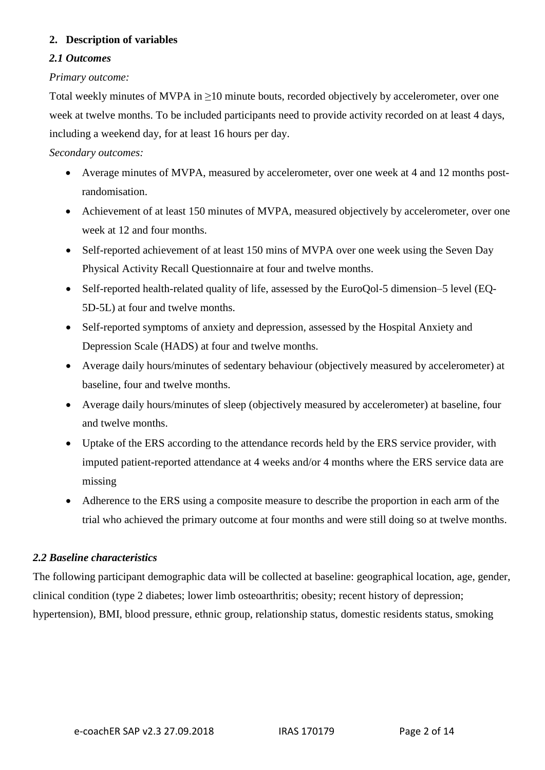## **2. Description of variables**

#### *2.1 Outcomes*

#### *Primary outcome:*

Total weekly minutes of MVPA in ≥10 minute bouts, recorded objectively by accelerometer, over one week at twelve months. To be included participants need to provide activity recorded on at least 4 days, including a weekend day, for at least 16 hours per day.

#### *Secondary outcomes:*

- Average minutes of MVPA, measured by accelerometer, over one week at 4 and 12 months postrandomisation.
- Achievement of at least 150 minutes of MVPA, measured objectively by accelerometer, over one week at 12 and four months.
- Self-reported achievement of at least 150 mins of MVPA over one week using the Seven Day Physical Activity Recall Questionnaire at four and twelve months.
- Self-reported health-related quality of life, assessed by the EuroQol-5 dimension–5 level (EQ-5D-5L) at four and twelve months.
- Self-reported symptoms of anxiety and depression, assessed by the Hospital Anxiety and Depression Scale (HADS) at four and twelve months.
- Average daily hours/minutes of sedentary behaviour (objectively measured by accelerometer) at baseline, four and twelve months.
- Average daily hours/minutes of sleep (objectively measured by accelerometer) at baseline, four and twelve months.
- Uptake of the ERS according to the attendance records held by the ERS service provider, with imputed patient-reported attendance at 4 weeks and/or 4 months where the ERS service data are missing
- Adherence to the ERS using a composite measure to describe the proportion in each arm of the trial who achieved the primary outcome at four months and were still doing so at twelve months.

## *2.2 Baseline characteristics*

The following participant demographic data will be collected at baseline: geographical location, age, gender, clinical condition (type 2 diabetes; lower limb osteoarthritis; obesity; recent history of depression; hypertension), BMI, blood pressure, ethnic group, relationship status, domestic residents status, smoking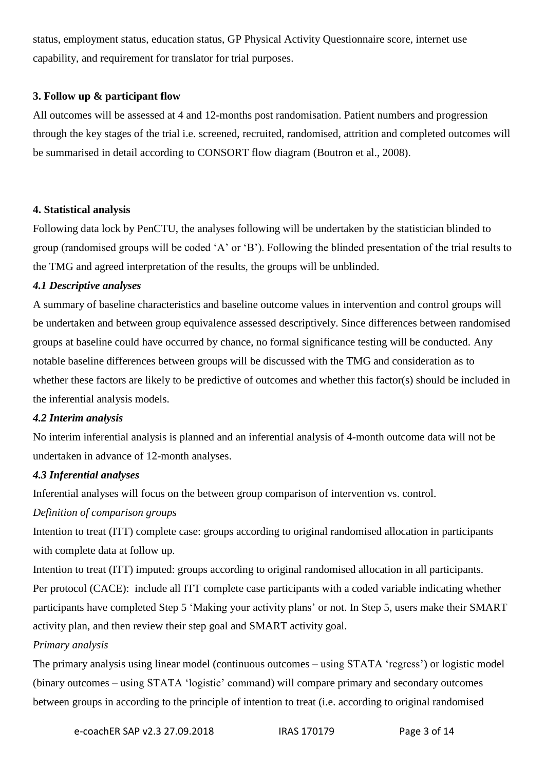status, employment status, education status, GP Physical Activity Questionnaire score, internet use capability, and requirement for translator for trial purposes.

## **3. Follow up & participant flow**

All outcomes will be assessed at 4 and 12-months post randomisation. Patient numbers and progression through the key stages of the trial i.e. screened, recruited, randomised, attrition and completed outcomes will be summarised in detail according to CONSORT flow diagram (Boutron et al., 2008).

## **4. Statistical analysis**

Following data lock by PenCTU, the analyses following will be undertaken by the statistician blinded to group (randomised groups will be coded 'A' or 'B'). Following the blinded presentation of the trial results to the TMG and agreed interpretation of the results, the groups will be unblinded.

## *4.1 Descriptive analyses*

A summary of baseline characteristics and baseline outcome values in intervention and control groups will be undertaken and between group equivalence assessed descriptively. Since differences between randomised groups at baseline could have occurred by chance, no formal significance testing will be conducted. Any notable baseline differences between groups will be discussed with the TMG and consideration as to whether these factors are likely to be predictive of outcomes and whether this factor(s) should be included in the inferential analysis models.

## *4.2 Interim analysis*

No interim inferential analysis is planned and an inferential analysis of 4-month outcome data will not be undertaken in advance of 12-month analyses.

## *4.3 Inferential analyses*

Inferential analyses will focus on the between group comparison of intervention vs. control.

## *Definition of comparison groups*

Intention to treat (ITT) complete case: groups according to original randomised allocation in participants with complete data at follow up.

Intention to treat (ITT) imputed: groups according to original randomised allocation in all participants. Per protocol (CACE): include all ITT complete case participants with a coded variable indicating whether participants have completed Step 5 'Making your activity plans' or not. In Step 5, users make their SMART activity plan, and then review their step goal and SMART activity goal.

#### *Primary analysis*

The primary analysis using linear model (continuous outcomes – using STATA 'regress') or logistic model (binary outcomes – using STATA 'logistic' command) will compare primary and secondary outcomes between groups in according to the principle of intention to treat (i.e. according to original randomised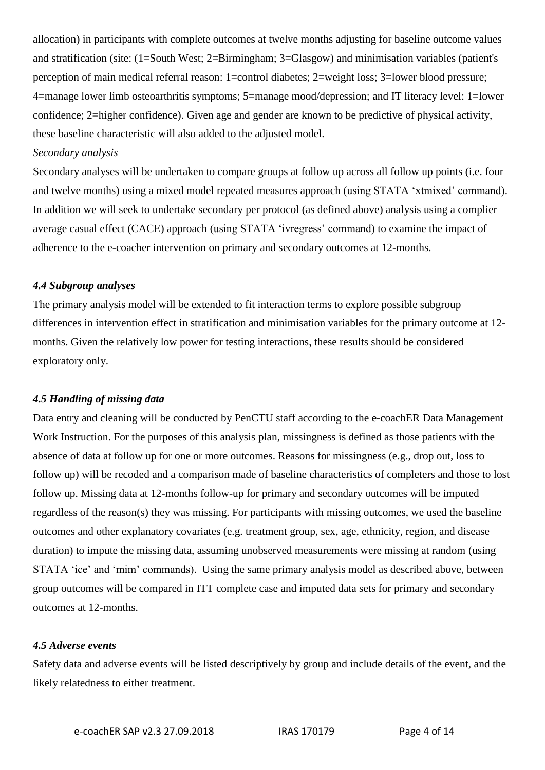allocation) in participants with complete outcomes at twelve months adjusting for baseline outcome values and stratification (site: (1=South West; 2=Birmingham; 3=Glasgow) and minimisation variables (patient's perception of main medical referral reason: 1=control diabetes; 2=weight loss; 3=lower blood pressure; 4=manage lower limb osteoarthritis symptoms; 5=manage mood/depression; and IT literacy level: 1=lower confidence; 2=higher confidence). Given age and gender are known to be predictive of physical activity, these baseline characteristic will also added to the adjusted model.

#### *Secondary analysis*

Secondary analyses will be undertaken to compare groups at follow up across all follow up points (i.e. four and twelve months) using a mixed model repeated measures approach (using STATA 'xtmixed' command). In addition we will seek to undertake secondary per protocol (as defined above) analysis using a complier average casual effect (CACE) approach (using STATA 'ivregress' command) to examine the impact of adherence to the e-coacher intervention on primary and secondary outcomes at 12-months.

#### *4.4 Subgroup analyses*

The primary analysis model will be extended to fit interaction terms to explore possible subgroup differences in intervention effect in stratification and minimisation variables for the primary outcome at 12 months. Given the relatively low power for testing interactions, these results should be considered exploratory only.

#### *4.5 Handling of missing data*

Data entry and cleaning will be conducted by PenCTU staff according to the e-coachER Data Management Work Instruction. For the purposes of this analysis plan, missingness is defined as those patients with the absence of data at follow up for one or more outcomes. Reasons for missingness (e.g., drop out, loss to follow up) will be recoded and a comparison made of baseline characteristics of completers and those to lost follow up. Missing data at 12-months follow-up for primary and secondary outcomes will be imputed regardless of the reason(s) they was missing. For participants with missing outcomes, we used the baseline outcomes and other explanatory covariates (e.g. treatment group, sex, age, ethnicity, region, and disease duration) to impute the missing data, assuming unobserved measurements were missing at random (using STATA 'ice' and 'mim' commands). Using the same primary analysis model as described above, between group outcomes will be compared in ITT complete case and imputed data sets for primary and secondary outcomes at 12-months.

#### *4.5 Adverse events*

Safety data and adverse events will be listed descriptively by group and include details of the event, and the likely relatedness to either treatment.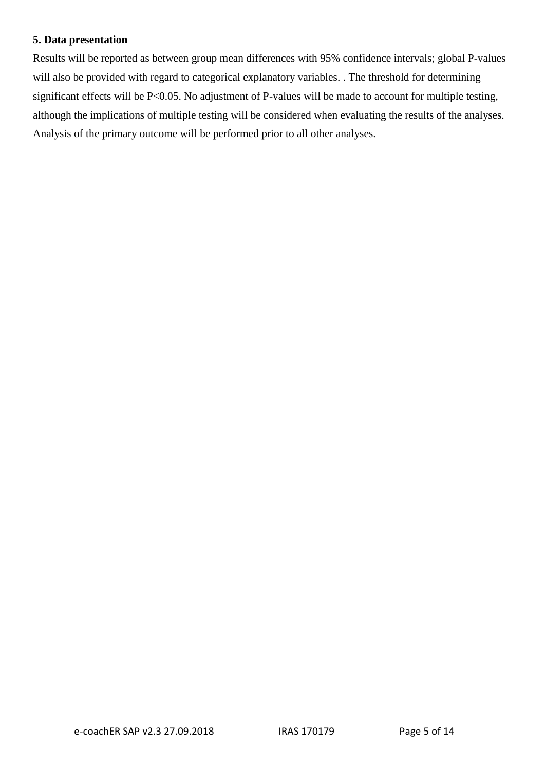#### **5. Data presentation**

Results will be reported as between group mean differences with 95% confidence intervals; global P-values will also be provided with regard to categorical explanatory variables. The threshold for determining significant effects will be P<0.05. No adjustment of P-values will be made to account for multiple testing, although the implications of multiple testing will be considered when evaluating the results of the analyses. Analysis of the primary outcome will be performed prior to all other analyses.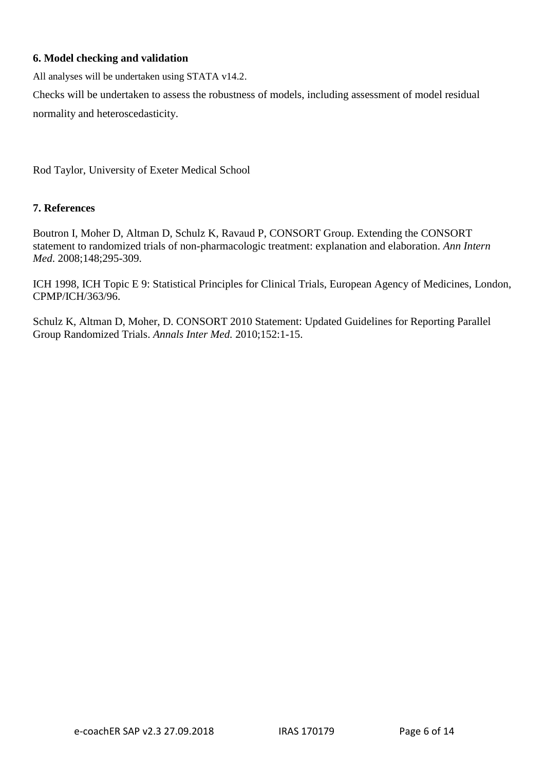## **6. Model checking and validation**

All analyses will be undertaken using STATA v14.2.

Checks will be undertaken to assess the robustness of models, including assessment of model residual normality and heteroscedasticity.

Rod Taylor, University of Exeter Medical School

#### **7. References**

Boutron I, Moher D, Altman D, Schulz K, Ravaud P, CONSORT Group. Extending the CONSORT statement to randomized trials of non-pharmacologic treatment: explanation and elaboration. *Ann Intern Med*. 2008;148;295-309.

ICH 1998, ICH Topic E 9: Statistical Principles for Clinical Trials, European Agency of Medicines, London, CPMP/ICH/363/96.

Schulz K, Altman D, Moher, D. CONSORT 2010 Statement: Updated Guidelines for Reporting Parallel Group Randomized Trials. *Annals Inter Med.* 2010;152:1-15.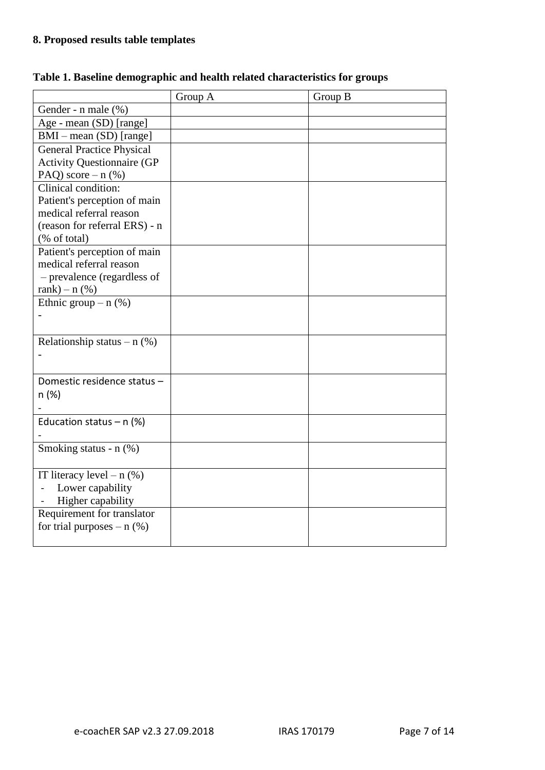# **8. Proposed results table templates**

|                                              | Group A | Group B |
|----------------------------------------------|---------|---------|
| Gender - n male (%)                          |         |         |
| Age - mean (SD) [range]                      |         |         |
| $BMI - mean (SD) [range]$                    |         |         |
| <b>General Practice Physical</b>             |         |         |
| <b>Activity Questionnaire (GP</b>            |         |         |
| PAQ) score $- n$ (%)                         |         |         |
| Clinical condition:                          |         |         |
| Patient's perception of main                 |         |         |
| medical referral reason                      |         |         |
| (reason for referral ERS) - n                |         |         |
| (% of total)                                 |         |         |
| Patient's perception of main                 |         |         |
| medical referral reason                      |         |         |
| - prevalence (regardless of                  |         |         |
| rank $) - n$ (%)                             |         |         |
| Ethnic group $- n$ (%)                       |         |         |
|                                              |         |         |
| Relationship status – $n$ (%)                |         |         |
|                                              |         |         |
|                                              |         |         |
| Domestic residence status -                  |         |         |
| n (%)                                        |         |         |
|                                              |         |         |
| Education status - $n$ (%)                   |         |         |
|                                              |         |         |
| Smoking status - n (%)                       |         |         |
|                                              |         |         |
| IT literacy level $- n$ (%)                  |         |         |
| Lower capability<br>$\overline{\phantom{a}}$ |         |         |
| Higher capability                            |         |         |
| Requirement for translator                   |         |         |
| for trial purposes $- n$ (%)                 |         |         |
|                                              |         |         |

## **Table 1. Baseline demographic and health related characteristics for groups**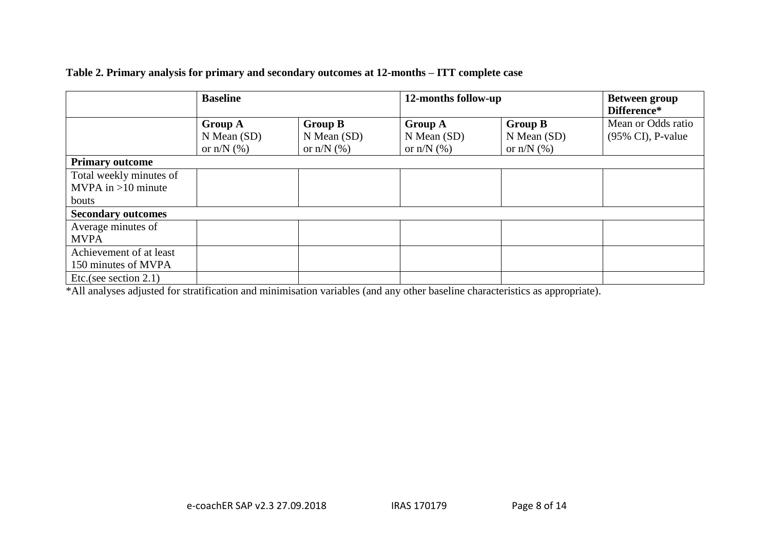|                           | <b>Baseline</b> |                 | 12-months follow-up |                 | <b>Between group</b><br>Difference* |
|---------------------------|-----------------|-----------------|---------------------|-----------------|-------------------------------------|
|                           | <b>Group A</b>  | <b>Group B</b>  | <b>Group A</b>      | <b>Group B</b>  | Mean or Odds ratio                  |
|                           | $N$ Mean $(SD)$ | $N$ Mean $(SD)$ | $N$ Mean (SD)       | $N$ Mean $(SD)$ | $(95\% \text{ CI})$ , P-value       |
|                           | or $n/N$ $(\%)$ | or $n/N$ $(\%)$ | or $n/N$ $(\%)$     | or $n/N$ $(\%)$ |                                     |
| <b>Primary outcome</b>    |                 |                 |                     |                 |                                     |
| Total weekly minutes of   |                 |                 |                     |                 |                                     |
| $MVPA$ in >10 minute      |                 |                 |                     |                 |                                     |
| bouts                     |                 |                 |                     |                 |                                     |
| <b>Secondary outcomes</b> |                 |                 |                     |                 |                                     |
| Average minutes of        |                 |                 |                     |                 |                                     |
| <b>MVPA</b>               |                 |                 |                     |                 |                                     |
| Achievement of at least   |                 |                 |                     |                 |                                     |
| 150 minutes of MVPA       |                 |                 |                     |                 |                                     |
| Etc.(see section $2.1$ )  |                 |                 |                     |                 |                                     |

## **Table 2. Primary analysis for primary and secondary outcomes at 12-months – ITT complete case**

\*All analyses adjusted for stratification and minimisation variables (and any other baseline characteristics as appropriate).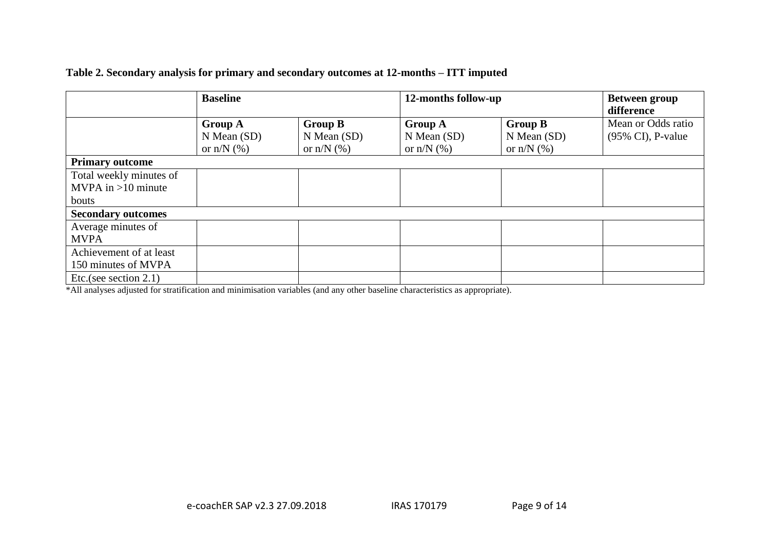|                           | <b>Baseline</b>                   |                                   | 12-months follow-up               |                                   | <b>Between group</b><br>difference                  |
|---------------------------|-----------------------------------|-----------------------------------|-----------------------------------|-----------------------------------|-----------------------------------------------------|
|                           | <b>Group A</b><br>$N$ Mean $(SD)$ | <b>Group B</b><br>$N$ Mean $(SD)$ | <b>Group A</b><br>$N$ Mean $(SD)$ | <b>Group B</b><br>$N$ Mean $(SD)$ | Mean or Odds ratio<br>$(95\% \text{ CI})$ , P-value |
|                           | or $n/N$ $(\%)$                   | or $n/N$ (%)                      | or $n/N$ $(\%)$                   | or $n/N$ (%)                      |                                                     |
| <b>Primary outcome</b>    |                                   |                                   |                                   |                                   |                                                     |
| Total weekly minutes of   |                                   |                                   |                                   |                                   |                                                     |
| $MVPA$ in >10 minute      |                                   |                                   |                                   |                                   |                                                     |
| bouts                     |                                   |                                   |                                   |                                   |                                                     |
| <b>Secondary outcomes</b> |                                   |                                   |                                   |                                   |                                                     |
| Average minutes of        |                                   |                                   |                                   |                                   |                                                     |
| <b>MVPA</b>               |                                   |                                   |                                   |                                   |                                                     |
| Achievement of at least   |                                   |                                   |                                   |                                   |                                                     |
| 150 minutes of MVPA       |                                   |                                   |                                   |                                   |                                                     |
| Etc.(see section $2.1$ )  |                                   |                                   |                                   |                                   |                                                     |

#### **Table 2. Secondary analysis for primary and secondary outcomes at 12-months – ITT imputed**

\*All analyses adjusted for stratification and minimisation variables (and any other baseline characteristics as appropriate).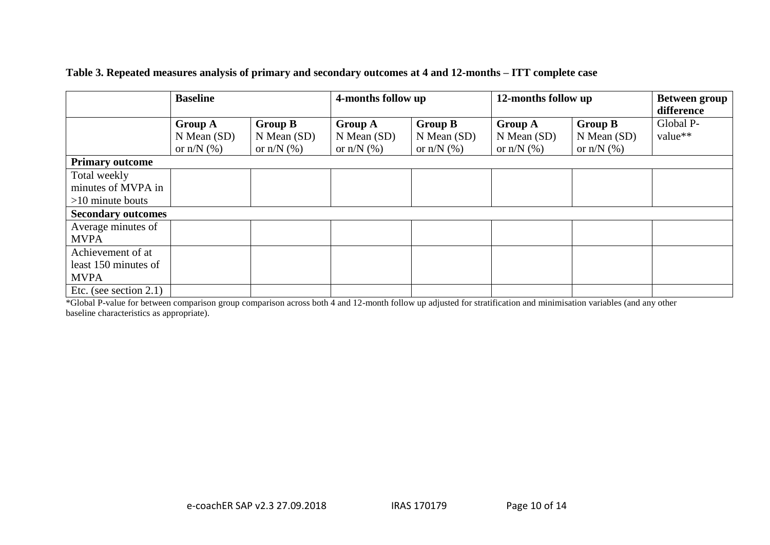|                           | <b>Baseline</b> |                 | 4-months follow up |                 | 12-months follow up |                 | <b>Between group</b> |
|---------------------------|-----------------|-----------------|--------------------|-----------------|---------------------|-----------------|----------------------|
|                           |                 |                 |                    |                 |                     |                 | difference           |
|                           | <b>Group A</b>  | <b>Group B</b>  | <b>Group A</b>     | <b>Group B</b>  | <b>Group A</b>      | <b>Group B</b>  | Global P-            |
|                           | $N$ Mean $(SD)$ | $N$ Mean $(SD)$ | $N$ Mean $(SD)$    | $N$ Mean $(SD)$ | $N$ Mean $(SD)$     | $N$ Mean $(SD)$ | value**              |
|                           | or $n/N$ $(\%)$ | or $n/N$ $(\%)$ | or $n/N$ $(\%)$    | or $n/N$ $(\%)$ | or $n/N$ $(\%)$     | or $n/N$ $(\%)$ |                      |
| <b>Primary outcome</b>    |                 |                 |                    |                 |                     |                 |                      |
| Total weekly              |                 |                 |                    |                 |                     |                 |                      |
| minutes of MVPA in        |                 |                 |                    |                 |                     |                 |                      |
| $>10$ minute bouts        |                 |                 |                    |                 |                     |                 |                      |
| <b>Secondary outcomes</b> |                 |                 |                    |                 |                     |                 |                      |
| Average minutes of        |                 |                 |                    |                 |                     |                 |                      |
| <b>MVPA</b>               |                 |                 |                    |                 |                     |                 |                      |
| Achievement of at         |                 |                 |                    |                 |                     |                 |                      |
| least 150 minutes of      |                 |                 |                    |                 |                     |                 |                      |
| <b>MVPA</b>               |                 |                 |                    |                 |                     |                 |                      |
| Etc. (see section $2.1$ ) |                 |                 |                    |                 |                     |                 |                      |

**Table 3. Repeated measures analysis of primary and secondary outcomes at 4 and 12-months – ITT complete case**

\*Global P-value for between comparison group comparison across both 4 and 12-month follow up adjusted for stratification and minimisation variables (and any other baseline characteristics as appropriate).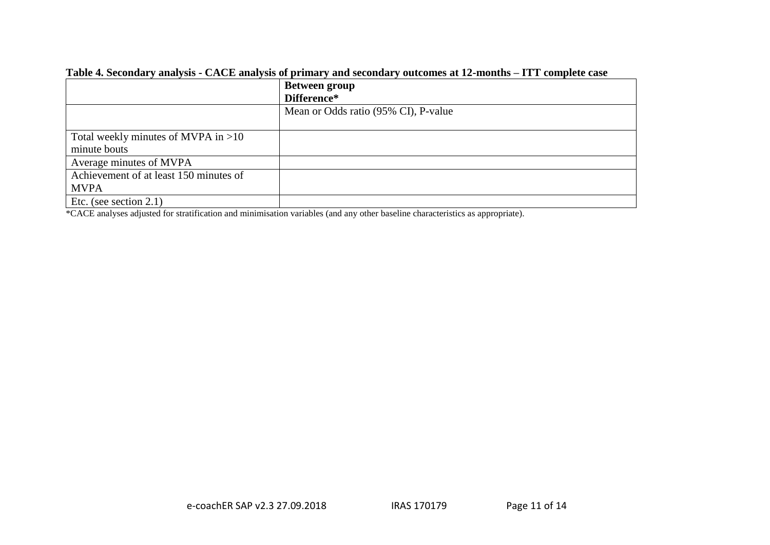|                                        | <b>Between group</b><br>Difference*  |
|----------------------------------------|--------------------------------------|
|                                        | Mean or Odds ratio (95% CI), P-value |
| Total weekly minutes of MVPA in $>10$  |                                      |
| minute bouts                           |                                      |
| Average minutes of MVPA                |                                      |
| Achievement of at least 150 minutes of |                                      |
| <b>MVPA</b>                            |                                      |
| Etc. (see section $2.1$ )              |                                      |

#### **Table 4. Secondary analysis - CACE analysis of primary and secondary outcomes at 12-months – ITT complete case**

\*CACE analyses adjusted for stratification and minimisation variables (and any other baseline characteristics as appropriate).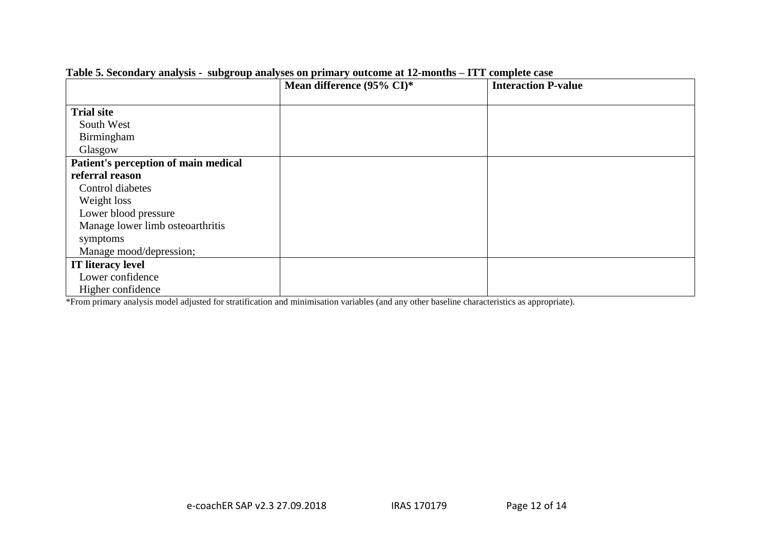|                                      | Mean difference (95% CI)* | <b>Interaction P-value</b> |
|--------------------------------------|---------------------------|----------------------------|
|                                      |                           |                            |
| <b>Trial site</b>                    |                           |                            |
| South West                           |                           |                            |
| Birmingham                           |                           |                            |
| Glasgow                              |                           |                            |
| Patient's perception of main medical |                           |                            |
| referral reason                      |                           |                            |
| Control diabetes                     |                           |                            |
| Weight loss                          |                           |                            |
| Lower blood pressure                 |                           |                            |
| Manage lower limb osteoarthritis     |                           |                            |
| symptoms                             |                           |                            |
| Manage mood/depression;              |                           |                            |
| <b>IT literacy level</b>             |                           |                            |
| Lower confidence                     |                           |                            |
| Higher confidence                    |                           |                            |

**Table 5. Secondary analysis - subgroup analyses on primary outcome at 12-months – ITT complete case** 

\*From primary analysis model adjusted for stratification and minimisation variables (and any other baseline characteristics as appropriate).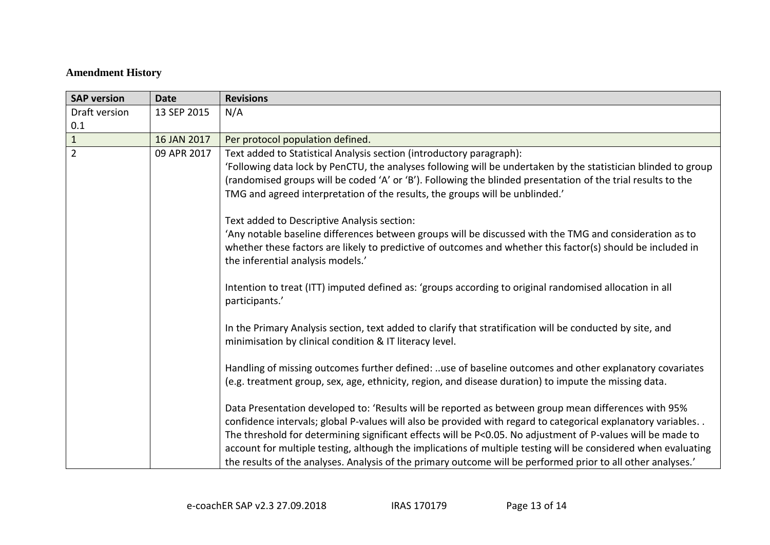# **Amendment History**

| <b>SAP version</b> | <b>Date</b> | <b>Revisions</b>                                                                                                                                                                                                                                                                                                                                                                                                                                                                                                                                                      |
|--------------------|-------------|-----------------------------------------------------------------------------------------------------------------------------------------------------------------------------------------------------------------------------------------------------------------------------------------------------------------------------------------------------------------------------------------------------------------------------------------------------------------------------------------------------------------------------------------------------------------------|
| Draft version      | 13 SEP 2015 | N/A                                                                                                                                                                                                                                                                                                                                                                                                                                                                                                                                                                   |
| 0.1                |             |                                                                                                                                                                                                                                                                                                                                                                                                                                                                                                                                                                       |
| $\mathbf 1$        | 16 JAN 2017 | Per protocol population defined.                                                                                                                                                                                                                                                                                                                                                                                                                                                                                                                                      |
| $\overline{2}$     | 09 APR 2017 | Text added to Statistical Analysis section (introductory paragraph):<br>'Following data lock by PenCTU, the analyses following will be undertaken by the statistician blinded to group<br>(randomised groups will be coded 'A' or 'B'). Following the blinded presentation of the trial results to the<br>TMG and agreed interpretation of the results, the groups will be unblinded.'                                                                                                                                                                                |
|                    |             | Text added to Descriptive Analysis section:<br>'Any notable baseline differences between groups will be discussed with the TMG and consideration as to<br>whether these factors are likely to predictive of outcomes and whether this factor(s) should be included in<br>the inferential analysis models.'                                                                                                                                                                                                                                                            |
|                    |             | Intention to treat (ITT) imputed defined as: 'groups according to original randomised allocation in all<br>participants.'                                                                                                                                                                                                                                                                                                                                                                                                                                             |
|                    |             | In the Primary Analysis section, text added to clarify that stratification will be conducted by site, and<br>minimisation by clinical condition & IT literacy level.                                                                                                                                                                                                                                                                                                                                                                                                  |
|                    |             | Handling of missing outcomes further defined: use of baseline outcomes and other explanatory covariates<br>(e.g. treatment group, sex, age, ethnicity, region, and disease duration) to impute the missing data.                                                                                                                                                                                                                                                                                                                                                      |
|                    |             | Data Presentation developed to: 'Results will be reported as between group mean differences with 95%<br>confidence intervals; global P-values will also be provided with regard to categorical explanatory variables<br>The threshold for determining significant effects will be P<0.05. No adjustment of P-values will be made to<br>account for multiple testing, although the implications of multiple testing will be considered when evaluating<br>the results of the analyses. Analysis of the primary outcome will be performed prior to all other analyses.' |